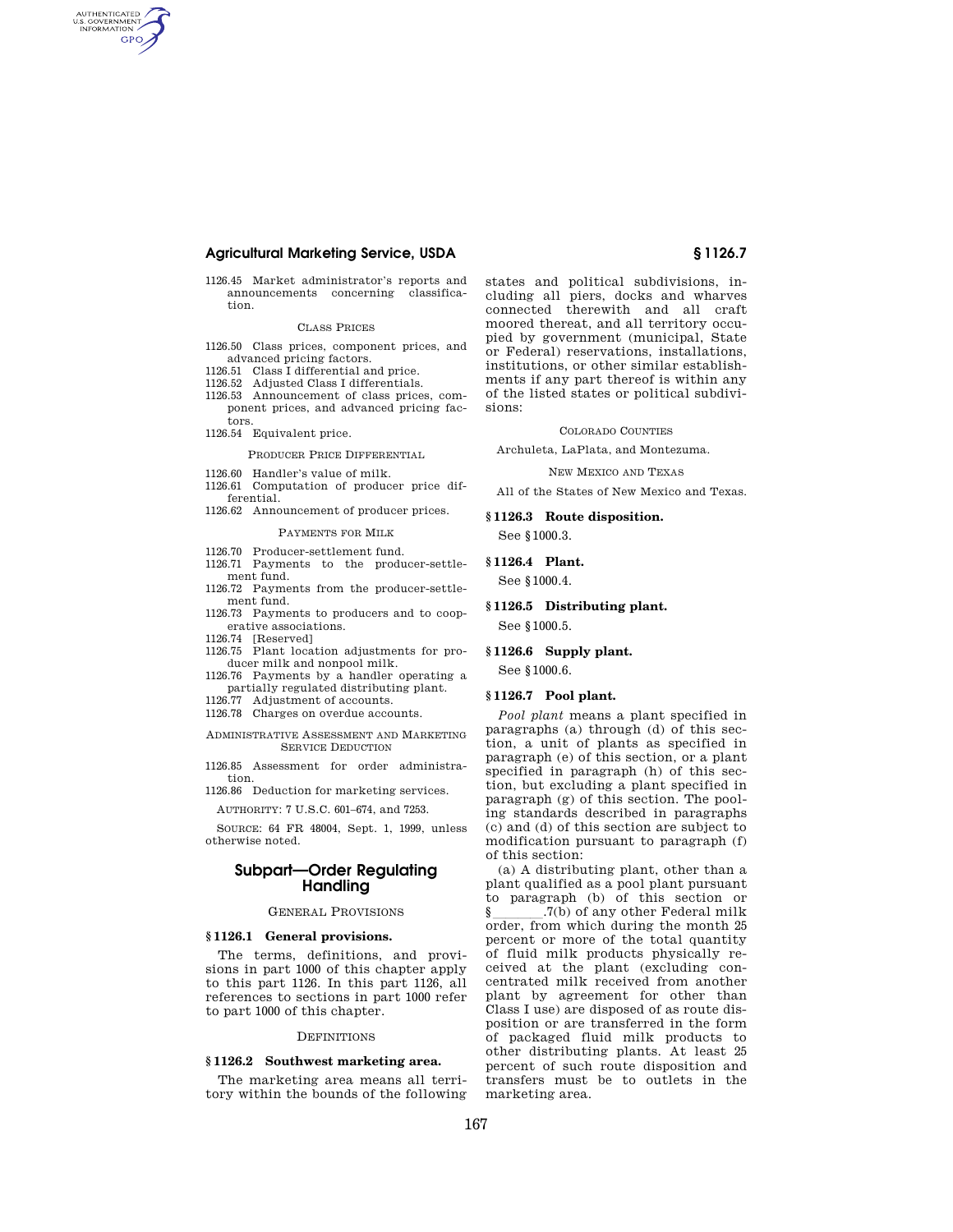## **Agricultural Marketing Service, USDA § 1126.7**

1126.45 Market administrator's reports and announcements concerning classification.

### CLASS PRICES

- 1126.50 Class prices, component prices, and advanced pricing factors.
- 1126.51 Class I differential and price.
- 1126.52 Adjusted Class I differentials.
- 1126.53 Announcement of class prices, component prices, and advanced pricing factors.
- 1126.54 Equivalent price.

AUTHENTICATED<br>U.S. GOVERNMENT<br>INFORMATION **GPO** 

### PRODUCER PRICE DIFFERENTIAL

- 1126.60 Handler's value of milk.
- 1126.61 Computation of producer price differential.

## 1126.62 Announcement of producer prices.

#### PAYMENTS FOR MILK

- 1126.70 Producer-settlement fund.
- 1126.71 Payments to the producer-settlement fund.
- 1126.72 Payments from the producer-settlement fund.
- 1126.73 Payments to producers and to cooperative associations.
- 1126.74 [Reserved]
- 1126.75 Plant location adjustments for producer milk and nonpool milk.
- 1126.76 Payments by a handler operating a partially regulated distributing plant.
- 1126.77 Adjustment of accounts.
- 1126.78 Charges on overdue accounts.
- ADMINISTRATIVE ASSESSMENT AND MARKETING SERVICE DEDUCTION

1126.85 Assessment for order administration.

1126.86 Deduction for marketing services.

AUTHORITY: 7 U.S.C. 601–674, and 7253.

SOURCE: 64 FR 48004, Sept. 1, 1999, unless otherwise noted.

## **Subpart—Order Regulating Handling**

## GENERAL PROVISIONS

### **§ 1126.1 General provisions.**

The terms, definitions, and provisions in part 1000 of this chapter apply to this part 1126. In this part 1126, all references to sections in part 1000 refer to part 1000 of this chapter.

### **DEFINITIONS**

## **§ 1126.2 Southwest marketing area.**

The marketing area means all territory within the bounds of the following states and political subdivisions, including all piers, docks and wharves connected therewith and all craft moored thereat, and all territory occupied by government (municipal, State or Federal) reservations, installations, institutions, or other similar establishments if any part thereof is within any of the listed states or political subdivisions:

#### COLORADO COUNTIES

Archuleta, LaPlata, and Montezuma.

NEW MEXICO AND TEXAS

All of the States of New Mexico and Texas.

## **§ 1126.3 Route disposition.**  See §1000.3.

## **§ 1126.4 Plant.**

See §1000.4.

**§ 1126.5 Distributing plant.** 

See §1000.5.

### **§ 1126.6 Supply plant.**

See §1000.6.

### **§ 1126.7 Pool plant.**

*Pool plant* means a plant specified in paragraphs (a) through (d) of this section, a unit of plants as specified in paragraph (e) of this section, or a plant specified in paragraph (h) of this section, but excluding a plant specified in paragraph (g) of this section. The pooling standards described in paragraphs (c) and (d) of this section are subject to modification pursuant to paragraph (f) of this section:

(a) A distributing plant, other than a plant qualified as a pool plant pursuant to paragraph (b) of this section or<br> $\S$  .7(b) of any other Federal milk § \_\_\_\_\_\_\_.7(b) of any other Federal milk<br>order, from which during the month 25 percent or more of the total quantity of fluid milk products physically received at the plant (excluding concentrated milk received from another plant by agreement for other than Class I use) are disposed of as route disposition or are transferred in the form of packaged fluid milk products to other distributing plants. At least 25 percent of such route disposition and transfers must be to outlets in the marketing area.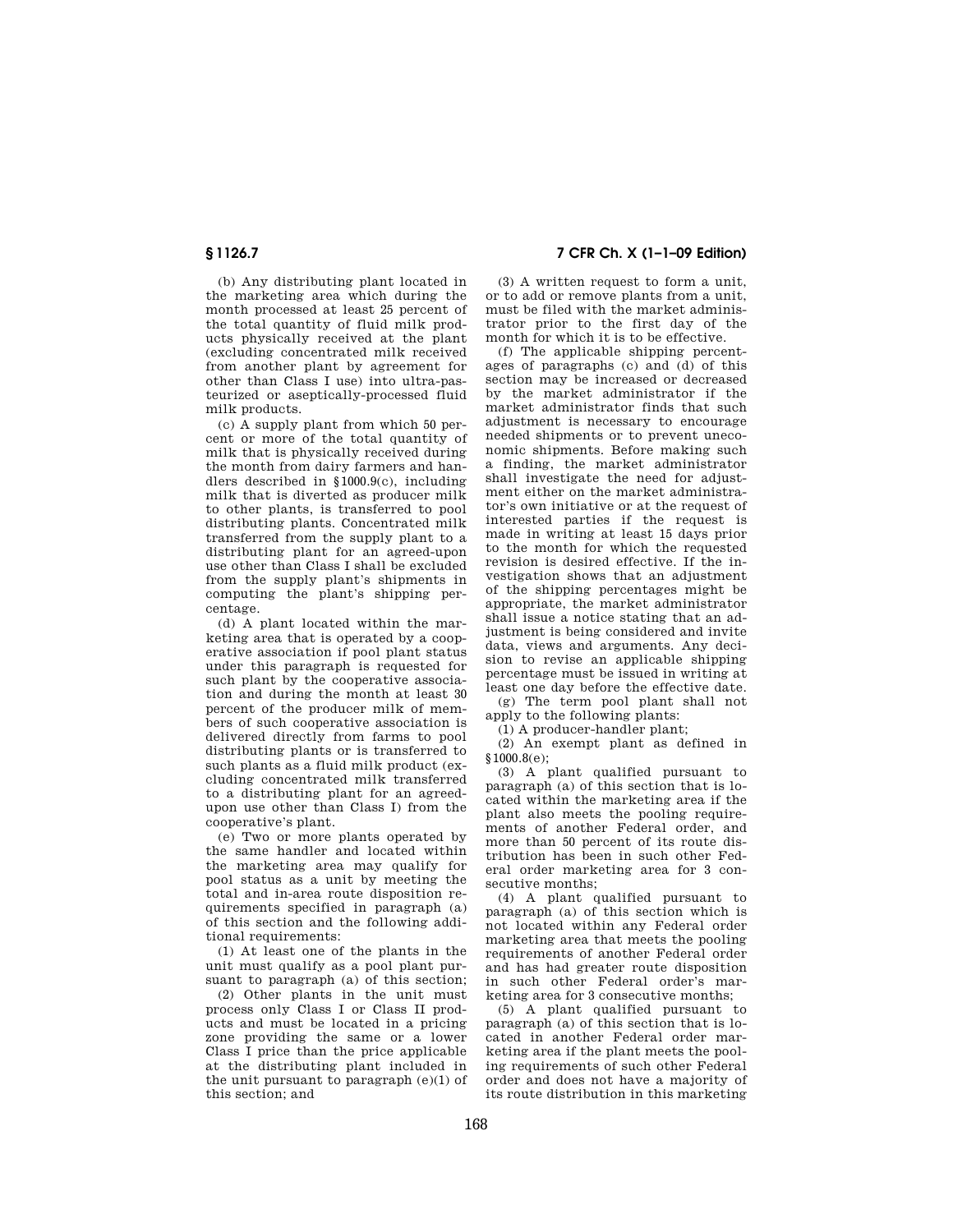(b) Any distributing plant located in the marketing area which during the month processed at least 25 percent of the total quantity of fluid milk products physically received at the plant (excluding concentrated milk received from another plant by agreement for other than Class I use) into ultra-pasteurized or aseptically-processed fluid milk products.

(c) A supply plant from which 50 percent or more of the total quantity of milk that is physically received during the month from dairy farmers and handlers described in §1000.9(c), including milk that is diverted as producer milk to other plants, is transferred to pool distributing plants. Concentrated milk transferred from the supply plant to a distributing plant for an agreed-upon use other than Class I shall be excluded from the supply plant's shipments in computing the plant's shipping percentage.

(d) A plant located within the marketing area that is operated by a cooperative association if pool plant status under this paragraph is requested for such plant by the cooperative association and during the month at least 30 percent of the producer milk of members of such cooperative association is delivered directly from farms to pool distributing plants or is transferred to such plants as a fluid milk product (excluding concentrated milk transferred to a distributing plant for an agreedupon use other than Class I) from the cooperative's plant.

(e) Two or more plants operated by the same handler and located within the marketing area may qualify for pool status as a unit by meeting the total and in-area route disposition requirements specified in paragraph (a) of this section and the following additional requirements:

(1) At least one of the plants in the unit must qualify as a pool plant pursuant to paragraph (a) of this section;

(2) Other plants in the unit must process only Class I or Class II products and must be located in a pricing zone providing the same or a lower Class I price than the price applicable at the distributing plant included in the unit pursuant to paragraph (e)(1) of this section; and

**§ 1126.7 7 CFR Ch. X (1–1–09 Edition)** 

(3) A written request to form a unit, or to add or remove plants from a unit, must be filed with the market administrator prior to the first day of the month for which it is to be effective.

(f) The applicable shipping percentages of paragraphs (c) and (d) of this section may be increased or decreased by the market administrator if the market administrator finds that such adjustment is necessary to encourage needed shipments or to prevent uneconomic shipments. Before making such a finding, the market administrator shall investigate the need for adjustment either on the market administrator's own initiative or at the request of interested parties if the request is made in writing at least 15 days prior to the month for which the requested revision is desired effective. If the investigation shows that an adjustment of the shipping percentages might be appropriate, the market administrator shall issue a notice stating that an adjustment is being considered and invite data, views and arguments. Any decision to revise an applicable shipping percentage must be issued in writing at least one day before the effective date.

(g) The term pool plant shall not apply to the following plants:

(1) A producer-handler plant;

(2) An exempt plant as defined in  $$1000.8(e)$ 

(3) A plant qualified pursuant to paragraph (a) of this section that is located within the marketing area if the plant also meets the pooling requirements of another Federal order, and more than 50 percent of its route distribution has been in such other Federal order marketing area for 3 consecutive months;

(4) A plant qualified pursuant to paragraph (a) of this section which is not located within any Federal order marketing area that meets the pooling requirements of another Federal order and has had greater route disposition in such other Federal order's marketing area for 3 consecutive months;

(5) A plant qualified pursuant to paragraph (a) of this section that is located in another Federal order marketing area if the plant meets the pooling requirements of such other Federal order and does not have a majority of its route distribution in this marketing